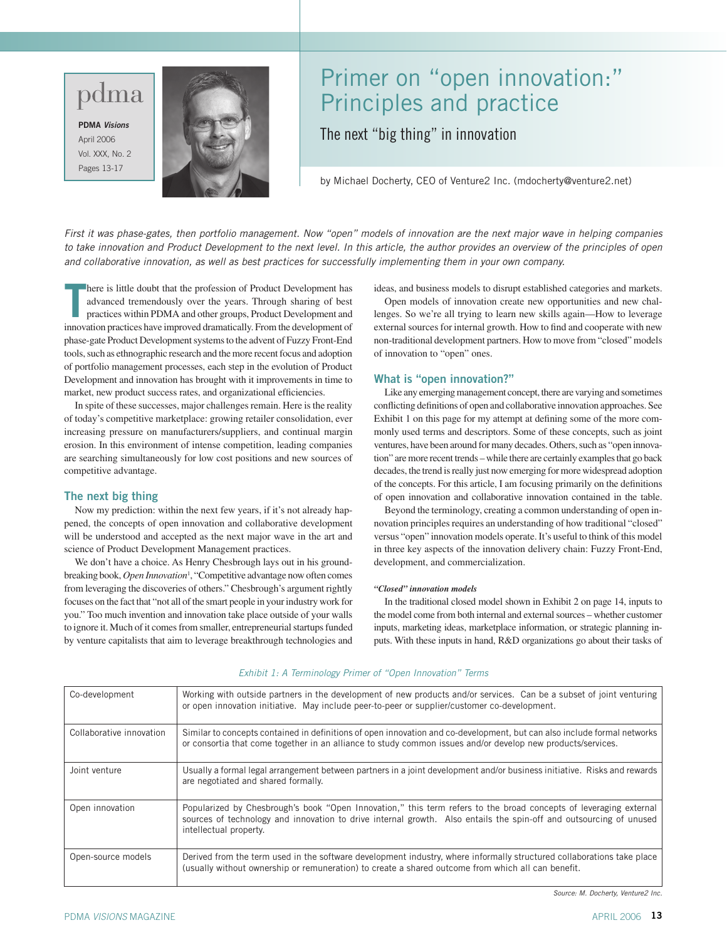# pdma

**PDMA** *Visions* April 2006 Vol. XXX, No. 2 Pages 13-17



# Primer on "open innovation:" Principles and practice

The next "big thing" in innovation

by Michael Docherty, CEO of Venture2 Inc. (mdocherty@venture2.net)

*First it was phase-gates, then portfolio management. Now "open" models of innovation are the next major wave in helping companies to take innovation and Product Development to the next level. In this article, the author provides an overview of the principles of open and collaborative innovation, as well as best practices for successfully implementing them in your own company.* 

**T** here is little doubt that the profession of Product Development has advanced tremendously over the years. Through sharing of best practices within PDMA and other groups, Product Development and innovation practices have improved dramatically. From the development of phase-gate Product Development systems to the advent of Fuzzy Front-End tools, such as ethnographic research and the more recent focus and adoption of portfolio management processes, each step in the evolution of Product Development and innovation has brought with it improvements in time to market, new product success rates, and organizational efficiencies.

In spite of these successes, major challenges remain. Here is the reality of today's competitive marketplace: growing retailer consolidation, ever increasing pressure on manufacturers/suppliers, and continual margin erosion. In this environment of intense competition, leading companies are searching simultaneously for low cost positions and new sources of competitive advantage.

### **The next big thing**

Now my prediction: within the next few years, if it's not already happened, the concepts of open innovation and collaborative development will be understood and accepted as the next major wave in the art and science of Product Development Management practices.

We don't have a choice. As Henry Chesbrough lays out in his groundbreaking book, *Open Innovation*<sup>1</sup> , "Competitive advantage now often comes from leveraging the discoveries of others." Chesbrough's argument rightly focuses on the fact that "not all of the smart people in your industry work for you." Too much invention and innovation take place outside of your walls to ignore it. Much of it comes from smaller, entrepreneurial startups funded by venture capitalists that aim to leverage breakthrough technologies and

ideas, and business models to disrupt established categories and markets.

Open models of innovation create new opportunities and new challenges. So we're all trying to learn new skills again—How to leverage external sources for internal growth. How to find and cooperate with new non-traditional development partners. How to move from "closed" models of innovation to "open" ones.

#### **What is "open innovation?"**

Like any emerging management concept, there are varying and sometimes conflicting definitions of open and collaborative innovation approaches. See Exhibit 1 on this page for my attempt at defining some of the more commonly used terms and descriptors. Some of these concepts, such as joint ventures, have been around for many decades. Others, such as "open innovation" are more recent trends – while there are certainly examples that go back decades, the trend is really just now emerging for more widespread adoption of the concepts. For this article, I am focusing primarily on the definitions of open innovation and collaborative innovation contained in the table.

Beyond the terminology, creating a common understanding of open innovation principles requires an understanding of how traditional "closed" versus "open" innovation models operate. It's useful to think of this model in three key aspects of the innovation delivery chain: Fuzzy Front-End, development, and commercialization.

#### *"Closed" innovation models*

In the traditional closed model shown in Exhibit 2 on page 14, inputs to the model come from both internal and external sources – whether customer inputs, marketing ideas, marketplace information, or strategic planning inputs. With these inputs in hand, R&D organizations go about their tasks of

| Co-development           | Working with outside partners in the development of new products and/or services. Can be a subset of joint venturing<br>or open innovation initiative. May include peer-to-peer or supplier/customer co-development.                                              |
|--------------------------|-------------------------------------------------------------------------------------------------------------------------------------------------------------------------------------------------------------------------------------------------------------------|
| Collaborative innovation | Similar to concepts contained in definitions of open innovation and co-development, but can also include formal networks<br>or consortia that come together in an alliance to study common issues and/or develop new products/services.                           |
| Joint venture            | Usually a formal legal arrangement between partners in a joint development and/or business initiative. Risks and rewards<br>are negotiated and shared formally.                                                                                                   |
| Open innovation          | Popularized by Chesbrough's book "Open Innovation," this term refers to the broad concepts of leveraging external<br>sources of technology and innovation to drive internal growth. Also entails the spin-off and outsourcing of unused<br>intellectual property. |
| Open-source models       | Derived from the term used in the software development industry, where informally structured collaborations take place<br>(usually without ownership or remuneration) to create a shared outcome from which all can benefit.                                      |

#### *Exhibit 1: A Terminology Primer of "Open Innovation" Terms*

*Source: M. Docherty, Venture2 Inc.*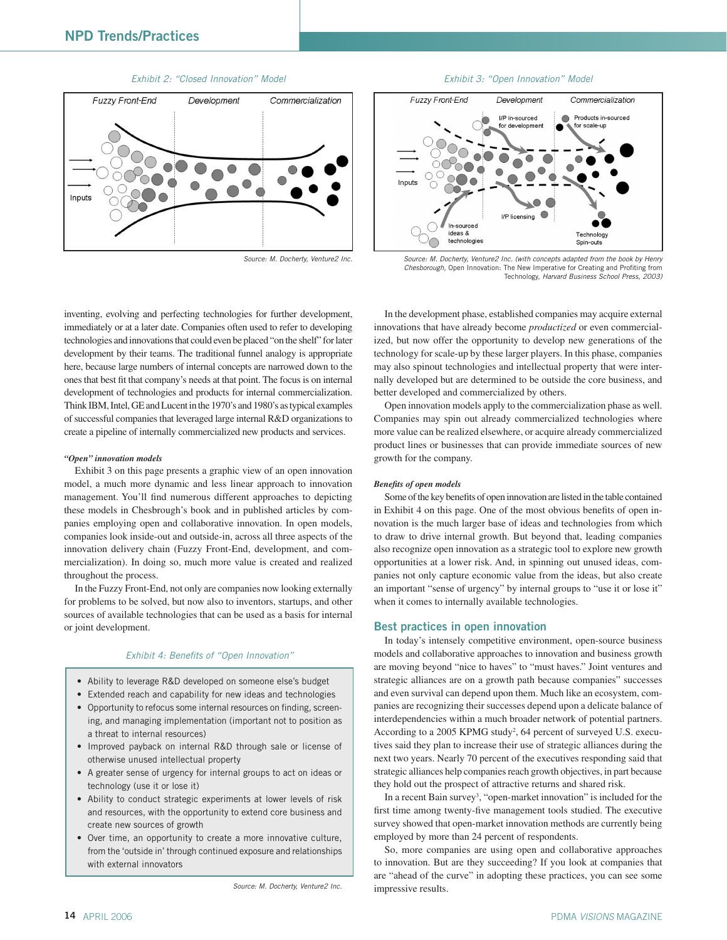





*Source: M. Docherty, Venture2 Inc. Source: M. Docherty, Venture2 Inc. (with concepts adapted from the book by Henry Chesborough,* Open Innovation: The New Imperative for Creating and Profiting from Technology, *Harvard Business School Press, 2003)*

inventing, evolving and perfecting technologies for further development, immediately or at a later date. Companies often used to refer to developing technologies and innovations that could even be placed "on the shelf" for later development by their teams. The traditional funnel analogy is appropriate here, because large numbers of internal concepts are narrowed down to the ones that best fit that company's needs at that point. The focus is on internal development of technologies and products for internal commercialization. Think IBM, Intel, GE and Lucent in the 1970's and 1980's as typical examples of successful companies that leveraged large internal R&D organizations to create a pipeline of internally commercialized new products and services.

#### *"Open" innovation models*

Exhibit 3 on this page presents a graphic view of an open innovation model, a much more dynamic and less linear approach to innovation management. You'll find numerous different approaches to depicting these models in Chesbrough's book and in published articles by companies employing open and collaborative innovation. In open models, companies look inside-out and outside-in, across all three aspects of the innovation delivery chain (Fuzzy Front-End, development, and commercialization). In doing so, much more value is created and realized throughout the process.

In the Fuzzy Front-End, not only are companies now looking externally for problems to be solved, but now also to inventors, startups, and other sources of available technologies that can be used as a basis for internal or joint development.

#### *Exhibit 4: Benefits of "Open Innovation"*

- Ability to leverage R&D developed on someone else's budget
- Extended reach and capability for new ideas and technologies
- Opportunity to refocus some internal resources on finding, screening, and managing implementation (important not to position as a threat to internal resources)
- Improved payback on internal R&D through sale or license of otherwise unused intellectual property
- A greater sense of urgency for internal groups to act on ideas or technology (use it or lose it)
- Ability to conduct strategic experiments at lower levels of risk and resources, with the opportunity to extend core business and create new sources of growth
- Over time, an opportunity to create a more innovative culture, from the 'outside in' through continued exposure and relationships with external innovators

*Source: M. Docherty, Venture2 Inc.*

In the development phase, established companies may acquire external innovations that have already become *productized* or even commercialized, but now offer the opportunity to develop new generations of the technology for scale-up by these larger players. In this phase, companies may also spinout technologies and intellectual property that were internally developed but are determined to be outside the core business, and better developed and commercialized by others.

Open innovation models apply to the commercialization phase as well. Companies may spin out already commercialized technologies where more value can be realized elsewhere, or acquire already commercialized product lines or businesses that can provide immediate sources of new growth for the company.

#### *Benefits of open models*

Some of the key benefits of open innovation are listed in the table contained in Exhibit 4 on this page. One of the most obvious benefits of open innovation is the much larger base of ideas and technologies from which to draw to drive internal growth. But beyond that, leading companies also recognize open innovation as a strategic tool to explore new growth opportunities at a lower risk. And, in spinning out unused ideas, companies not only capture economic value from the ideas, but also create an important "sense of urgency" by internal groups to "use it or lose it" when it comes to internally available technologies.

#### **Best practices in open innovation**

In today's intensely competitive environment, open-source business models and collaborative approaches to innovation and business growth are moving beyond "nice to haves" to "must haves." Joint ventures and strategic alliances are on a growth path because companies" successes and even survival can depend upon them. Much like an ecosystem, companies are recognizing their successes depend upon a delicate balance of interdependencies within a much broader network of potential partners. According to a 2005 KPMG study<sup>2</sup>, 64 percent of surveyed U.S. executives said they plan to increase their use of strategic alliances during the next two years. Nearly 70 percent of the executives responding said that strategic alliances help companies reach growth objectives, in part because they hold out the prospect of attractive returns and shared risk.

In a recent Bain survey<sup>3</sup>, "open-market innovation" is included for the first time among twenty-five management tools studied. The executive survey showed that open-market innovation methods are currently being employed by more than 24 percent of respondents.

So, more companies are using open and collaborative approaches to innovation. But are they succeeding? If you look at companies that are "ahead of the curve" in adopting these practices, you can see some impressive results.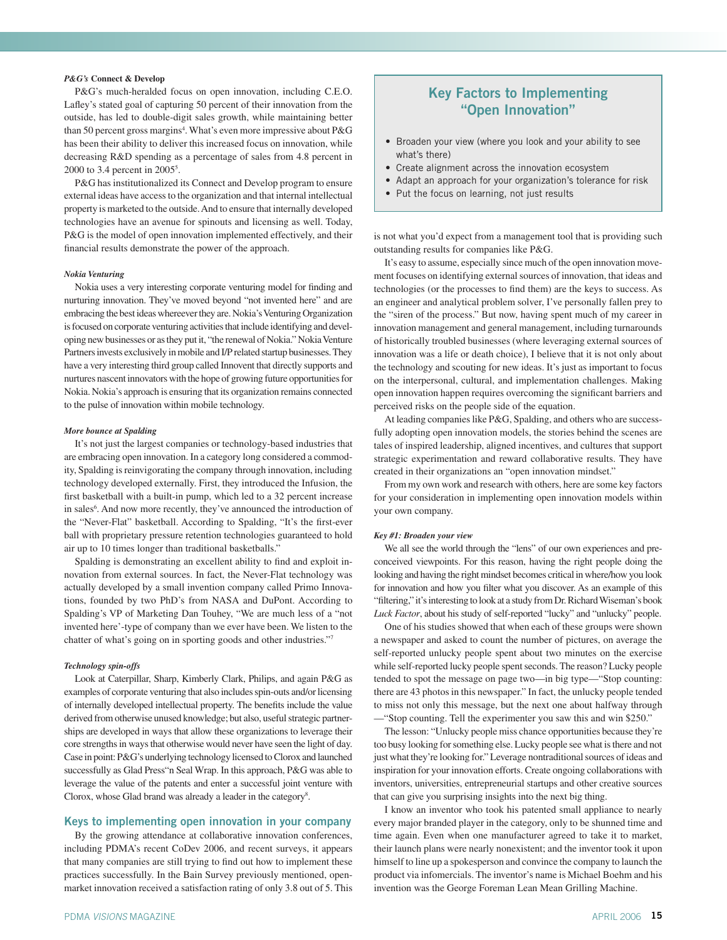#### *P&G's* **Connect & Develop**

P&G's much-heralded focus on open innovation, including C.E.O. Lafley's stated goal of capturing 50 percent of their innovation from the outside, has led to double-digit sales growth, while maintaining better than 50 percent gross margins<sup>4</sup>. What's even more impressive about P&G has been their ability to deliver this increased focus on innovation, while decreasing R&D spending as a percentage of sales from 4.8 percent in 2000 to 3.4 percent in 2005<sup>5</sup>.

P&G has institutionalized its Connect and Develop program to ensure external ideas have access to the organization and that internal intellectual property is marketed to the outside. And to ensure that internally developed technologies have an avenue for spinouts and licensing as well. Today, P&G is the model of open innovation implemented effectively, and their financial results demonstrate the power of the approach.

#### *Nokia Venturing*

Nokia uses a very interesting corporate venturing model for finding and nurturing innovation. They've moved beyond "not invented here" and are embracing the best ideas whereever they are. Nokia's Venturing Organization is focused on corporate venturing activities that include identifying and developing new businesses or as they put it, "the renewal of Nokia." Nokia Venture Partners invests exclusively in mobile and I/P related startup businesses. They have a very interesting third group called Innovent that directly supports and nurtures nascent innovators with the hope of growing future opportunities for Nokia. Nokia's approach is ensuring that its organization remains connected to the pulse of innovation within mobile technology.

#### *More bounce at Spalding*

It's not just the largest companies or technology-based industries that are embracing open innovation. In a category long considered a commodity, Spalding is reinvigorating the company through innovation, including technology developed externally. First, they introduced the Infusion, the first basketball with a built-in pump, which led to a 32 percent increase in sales<sup>6</sup>. And now more recently, they've announced the introduction of the "Never-Flat" basketball. According to Spalding, "It's the first-ever ball with proprietary pressure retention technologies guaranteed to hold air up to 10 times longer than traditional basketballs."

Spalding is demonstrating an excellent ability to find and exploit innovation from external sources. In fact, the Never-Flat technology was actually developed by a small invention company called Primo Innovations, founded by two PhD's from NASA and DuPont. According to Spalding's VP of Marketing Dan Touhey, "We are much less of a "not invented here'-type of company than we ever have been. We listen to the chatter of what's going on in sporting goods and other industries."7

#### *Technology spin-offs*

Look at Caterpillar, Sharp, Kimberly Clark, Philips, and again P&G as examples of corporate venturing that also includes spin-outs and/or licensing of internally developed intellectual property. The benefits include the value derived from otherwise unused knowledge; but also, useful strategic partnerships are developed in ways that allow these organizations to leverage their core strengths in ways that otherwise would never have seen the light of day. Case in point: P&G's underlying technology licensed to Clorox and launched successfully as Glad Press"n Seal Wrap. In this approach, P&G was able to leverage the value of the patents and enter a successful joint venture with Clorox, whose Glad brand was already a leader in the category<sup>8</sup>.

### **Keys to implementing open innovation in your company**

By the growing attendance at collaborative innovation conferences, including PDMA's recent CoDev 2006, and recent surveys, it appears that many companies are still trying to find out how to implement these practices successfully. In the Bain Survey previously mentioned, openmarket innovation received a satisfaction rating of only 3.8 out of 5. This

# **Key Factors to Implementing "Open Innovation"**

- Broaden your view (where you look and your ability to see what's there)
- Create alignment across the innovation ecosystem
- Adapt an approach for your organization's tolerance for risk
- Put the focus on learning, not just results

is not what you'd expect from a management tool that is providing such outstanding results for companies like P&G.

It's easy to assume, especially since much of the open innovation movement focuses on identifying external sources of innovation, that ideas and technologies (or the processes to find them) are the keys to success. As an engineer and analytical problem solver, I've personally fallen prey to the "siren of the process." But now, having spent much of my career in innovation management and general management, including turnarounds of historically troubled businesses (where leveraging external sources of innovation was a life or death choice), I believe that it is not only about the technology and scouting for new ideas. It's just as important to focus on the interpersonal, cultural, and implementation challenges. Making open innovation happen requires overcoming the significant barriers and perceived risks on the people side of the equation.

At leading companies like P&G, Spalding, and others who are successfully adopting open innovation models, the stories behind the scenes are tales of inspired leadership, aligned incentives, and cultures that support strategic experimentation and reward collaborative results. They have created in their organizations an "open innovation mindset."

From my own work and research with others, here are some key factors for your consideration in implementing open innovation models within your own company.

#### *Key #1: Broaden your view*

We all see the world through the "lens" of our own experiences and preconceived viewpoints. For this reason, having the right people doing the looking and having the right mindset becomes critical in where/how you look for innovation and how you filter what you discover. As an example of this "filtering," it's interesting to look at a study from Dr. Richard Wiseman's book *Luck Factor*, about his study of self-reported "lucky" and "unlucky" people.

One of his studies showed that when each of these groups were shown a newspaper and asked to count the number of pictures, on average the self-reported unlucky people spent about two minutes on the exercise while self-reported lucky people spent seconds. The reason? Lucky people tended to spot the message on page two—in big type—"Stop counting: there are 43 photos in this newspaper." In fact, the unlucky people tended to miss not only this message, but the next one about halfway through —"Stop counting. Tell the experimenter you saw this and win \$250."

The lesson: "Unlucky people miss chance opportunities because they're too busy looking for something else. Lucky people see what is there and not just what they're looking for." Leverage nontraditional sources of ideas and inspiration for your innovation efforts. Create ongoing collaborations with inventors, universities, entrepreneurial startups and other creative sources that can give you surprising insights into the next big thing.

I know an inventor who took his patented small appliance to nearly every major branded player in the category, only to be shunned time and time again. Even when one manufacturer agreed to take it to market, their launch plans were nearly nonexistent; and the inventor took it upon himself to line up a spokesperson and convince the company to launch the product via infomercials. The inventor's name is Michael Boehm and his invention was the George Foreman Lean Mean Grilling Machine.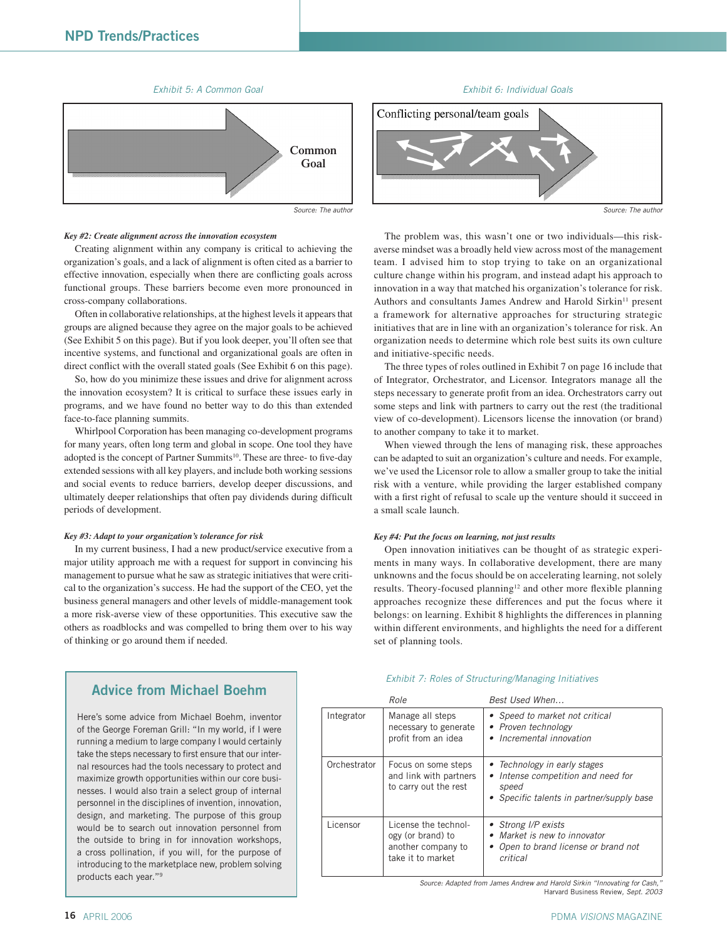

#### *Key #2: Create alignment across the innovation ecosystem*

Creating alignment within any company is critical to achieving the organization's goals, and a lack of alignment is often cited as a barrier to effective innovation, especially when there are conflicting goals across functional groups. These barriers become even more pronounced in cross-company collaborations.

Often in collaborative relationships, at the highest levels it appears that groups are aligned because they agree on the major goals to be achieved (See Exhibit 5 on this page). But if you look deeper, you'll often see that incentive systems, and functional and organizational goals are often in direct conflict with the overall stated goals (See Exhibit 6 on this page).

So, how do you minimize these issues and drive for alignment across the innovation ecosystem? It is critical to surface these issues early in programs, and we have found no better way to do this than extended face-to-face planning summits.

Whirlpool Corporation has been managing co-development programs for many years, often long term and global in scope. One tool they have adopted is the concept of Partner Summits<sup>10</sup>. These are three- to five-day extended sessions with all key players, and include both working sessions and social events to reduce barriers, develop deeper discussions, and ultimately deeper relationships that often pay dividends during difficult periods of development.

#### *Key #3: Adapt to your organization's tolerance for risk*

In my current business, I had a new product/service executive from a major utility approach me with a request for support in convincing his management to pursue what he saw as strategic initiatives that were critical to the organization's success. He had the support of the CEO, yet the business general managers and other levels of middle-management took a more risk-averse view of these opportunities. This executive saw the others as roadblocks and was compelled to bring them over to his way of thinking or go around them if needed.



The problem was, this wasn't one or two individuals—this riskaverse mindset was a broadly held view across most of the management team. I advised him to stop trying to take on an organizational culture change within his program, and instead adapt his approach to innovation in a way that matched his organization's tolerance for risk. Authors and consultants James Andrew and Harold Sirkin<sup>11</sup> present a framework for alternative approaches for structuring strategic initiatives that are in line with an organization's tolerance for risk. An organization needs to determine which role best suits its own culture and initiative-specific needs.

The three types of roles outlined in Exhibit 7 on page 16 include that of Integrator, Orchestrator, and Licensor. Integrators manage all the steps necessary to generate profit from an idea. Orchestrators carry out some steps and link with partners to carry out the rest (the traditional view of co-development). Licensors license the innovation (or brand) to another company to take it to market.

When viewed through the lens of managing risk, these approaches can be adapted to suit an organization's culture and needs. For example, we've used the Licensor role to allow a smaller group to take the initial risk with a venture, while providing the larger established company with a first right of refusal to scale up the venture should it succeed in a small scale launch.

#### *Key #4: Put the focus on learning, not just results*

Open innovation initiatives can be thought of as strategic experiments in many ways. In collaborative development, there are many unknowns and the focus should be on accelerating learning, not solely results. Theory-focused planning<sup>12</sup> and other more flexible planning approaches recognize these differences and put the focus where it belongs: on learning. Exhibit 8 highlights the differences in planning within different environments, and highlights the need for a different set of planning tools.

#### *Exhibit 7: Roles of Structuring/Managing Initiatives*

|              | Role                                                                                 | Best Used When                                                                                                         |
|--------------|--------------------------------------------------------------------------------------|------------------------------------------------------------------------------------------------------------------------|
| Integrator   | Manage all steps<br>necessary to generate<br>profit from an idea                     | • Speed to market not critical<br>• Proven technology<br>• Incremental innovation                                      |
| Orchestrator | Focus on some steps<br>and link with partners<br>to carry out the rest               | • Technology in early stages<br>Intense competition and need for<br>speed<br>• Specific talents in partner/supply base |
| Licensor     | License the technol-<br>ogy (or brand) to<br>another company to<br>take it to market | • Strong I/P exists<br>Market is new to innovator<br>Open to brand license or brand not<br>critical                    |

*Source: Adapted from James Andrew and Harold Sirkin "Innovating for Cash,"*  Harvard Business Review*, Sept. 2003*

# **Advice from Michael Boehm**

Here's some advice from Michael Boehm, inventor of the George Foreman Grill: "In my world, if I were running a medium to large company I would certainly take the steps necessary to first ensure that our internal resources had the tools necessary to protect and maximize growth opportunities within our core businesses. I would also train a select group of internal personnel in the disciplines of invention, innovation, design, and marketing. The purpose of this group would be to search out innovation personnel from the outside to bring in for innovation workshops, a cross pollination, if you will, for the purpose of introducing to the marketplace new, problem solving products each year."9